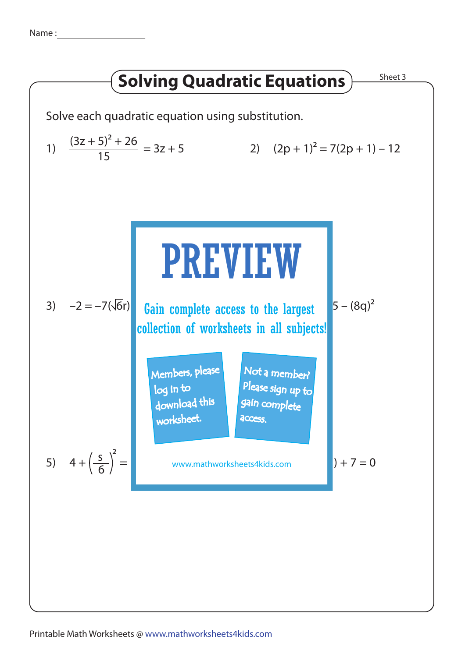